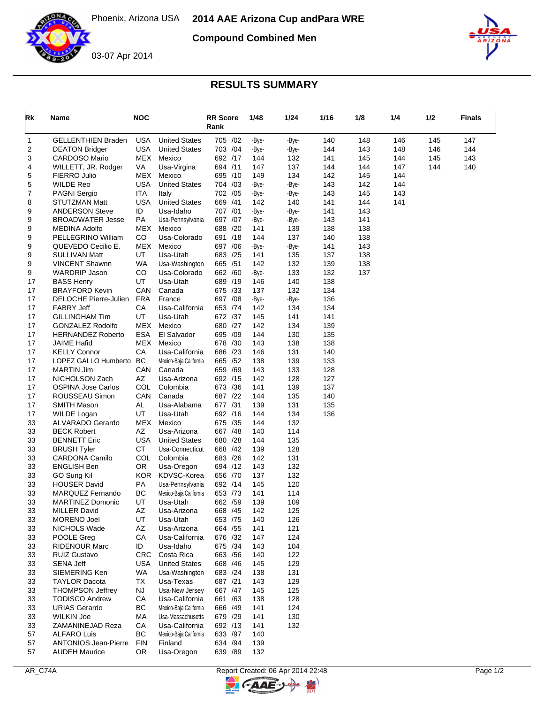

**Compound Combined Men**



## **RESULTS SUMMARY**

| Rk       | <b>Name</b>                                 | <b>NOC</b> |                        | <b>RR Score</b><br>Rank | 1/48       | 1/24       | 1/16       | 1/8 | 1/4 | 1/2 | Finals |
|----------|---------------------------------------------|------------|------------------------|-------------------------|------------|------------|------------|-----|-----|-----|--------|
| 1        | <b>GELLENTHIEN Braden</b>                   | <b>USA</b> | <b>United States</b>   | 705 /02                 | -Bye-      | -Bye-      | 140        | 148 | 146 | 145 | 147    |
| 2        | <b>DEATON Bridger</b>                       | <b>USA</b> | <b>United States</b>   | 703 /04                 | -Bye-      | -Bye-      | 144        | 143 | 148 | 146 | 144    |
| 3        | <b>CARDOSO Mario</b>                        | MEX        | Mexico                 | 692 /17                 | 144        | 132        | 141        | 145 | 144 | 145 | 143    |
| 4        | WILLETT, JR. Rodger                         | VA         | Usa-Virgina            | 694 /11                 | 147        | 137        | 144        | 144 | 147 | 144 | 140    |
| 5        | <b>FIERRO Julio</b>                         | MEX        | Mexico                 | 695 /10                 | 149        | 134        | 142        | 145 | 144 |     |        |
| 5        | <b>WILDE Reo</b>                            | <b>USA</b> | <b>United States</b>   | 704 /03                 | -Bye-      | -Bye-      | 143        | 142 | 144 |     |        |
| 7        | <b>PAGNI Sergio</b>                         | ITA        | Italy                  | 702 /05                 | -Bye-      | -Bye-      | 143        | 145 | 143 |     |        |
| 8        | STUTZMAN Matt                               | <b>USA</b> | <b>United States</b>   | 669 /41                 | 142        | 140        | 141        | 144 | 141 |     |        |
| 9        | <b>ANDERSON Steve</b>                       | ID         | Usa-Idaho              | 707 /01                 | -Bye-      | -Bye-      | 141        | 143 |     |     |        |
| 9        | <b>BROADWATER Jesse</b>                     | PA         | Usa-Pennsylvania       | 697 /07                 | -Bye-      | -Bye-      | 143        | 141 |     |     |        |
| 9        | <b>MEDINA Adolfo</b>                        | MEX        | Mexico                 | 688 /20                 | 141        | 139        | 138        | 138 |     |     |        |
| 9        | PELLEGRINO William                          | CO         | Usa-Colorado           | 691 /18                 | 144        | 137        | 140        | 138 |     |     |        |
| 9        | QUEVEDO Cecilio E.                          | MEX        | Mexico                 | 697 /06                 | -Bye-      | -Bye-      | 141        | 143 |     |     |        |
| 9        | <b>SULLIVAN Matt</b>                        | UT         | Usa-Utah               | 683 /25                 | 141        | 135        | 137        | 138 |     |     |        |
| 9        | <b>VINCENT Shawnn</b>                       | WA         | Usa-Washington         | 665 / 51                | 142        | 132        | 139        | 138 |     |     |        |
| 9        | <b>WARDRIP Jason</b>                        | CO         | Usa-Colorado           | 662 /60                 | -Bye-      | 133        | 132        | 137 |     |     |        |
| 17       | <b>BASS Henry</b>                           | UT         | Usa-Utah               | 689 /19                 | 146        | 140        | 138        |     |     |     |        |
| 17       | <b>BRAYFORD Kevin</b>                       | CAN        | Canada                 | 675 /33                 | 137        | 132        | 134        |     |     |     |        |
| 17       | DELOCHE Pierre-Julien                       | <b>FRA</b> | France                 | 697 /08                 | -Bye-      | -Bye-      | 136        |     |     |     |        |
| 17       | <b>FABRY Jeff</b>                           | СA         | Usa-California         | 653 /74                 | 142        | 134        | 134        |     |     |     |        |
| 17       | <b>GILLINGHAM Tim</b>                       | UT         | Usa-Utah               | 672 /37                 | 145        | 141        | 141        |     |     |     |        |
| 17       | <b>GONZALEZ Rodolfo</b>                     | <b>MEX</b> | Mexico                 | 680 /27                 | 142        | 134        | 139        |     |     |     |        |
| 17       | <b>HERNANDEZ Roberto</b>                    | <b>ESA</b> | El Salvador            | 695 /09                 | 144        | 130        | 135        |     |     |     |        |
| 17       | <b>JAIME Hafid</b>                          | MEX        | Mexico                 | 678 /30                 | 143        | 138        | 138        |     |     |     |        |
| 17       | <b>KELLY Connor</b><br>LOPEZ GALLO Humberto | СA         | Usa-California         | 686 /23<br>665 /52      | 146        | 131        | 140        |     |     |     |        |
| 17       |                                             | BC         | Mexico-Baja California |                         | 138        | 139        | 133        |     |     |     |        |
| 17<br>17 | <b>MARTIN Jim</b><br>NICHOLSON Zach         | CAN<br>AZ  | Canada<br>Usa-Arizona  | 659 /69<br>692 /15      | 143<br>142 | 133<br>128 | 128        |     |     |     |        |
| 17       |                                             | COL        | Colombia               | 673 /36                 | 141        | 139        | 127<br>137 |     |     |     |        |
| 17       | <b>OSPINA Jose Carlos</b><br>ROUSSEAU Simon | CAN        | Canada                 | 687 /22                 | 144        | 135        | 140        |     |     |     |        |
| 17       | SMITH Mason                                 | AL         | Usa-Alabama            | 677 /31                 | 139        | 131        | 135        |     |     |     |        |
| 17       | <b>WILDE Logan</b>                          | UT         | Usa-Utah               | 692 /16                 | 144        | 134        | 136        |     |     |     |        |
| 33       | <b>ALVARADO Gerardo</b>                     | MEX        | Mexico                 | 675 /35                 | 144        | 132        |            |     |     |     |        |
| 33       | <b>BECK Robert</b>                          | AZ         | Usa-Arizona            | 667 /48                 | 140        | 114        |            |     |     |     |        |
| 33       | <b>BENNETT Eric</b>                         | <b>USA</b> | <b>United States</b>   | 680 /28                 | 144        | 135        |            |     |     |     |        |
| 33       | <b>BRUSH Tyler</b>                          | <b>CT</b>  | Usa-Connecticut        | 668 /42                 | 139        | 128        |            |     |     |     |        |
| 33       | <b>CARDONA Camilo</b>                       | COL        | Colombia               | 683 /26                 | 142        | 131        |            |     |     |     |        |
| 33       | <b>ENGLISH Ben</b>                          | 0R         | Usa-Oregon             | 694 /12                 | 143        | 132        |            |     |     |     |        |
| 33       | GO Sung Kil                                 | <b>KOR</b> | KDVSC-Korea            | 656 /70                 | 137        | 132        |            |     |     |     |        |
| 33       | <b>HOUSER David</b>                         | PA         | Usa-Pennsylvania       | 692 /14                 | 145        | 120        |            |     |     |     |        |
| 33       | MARQUEZ Fernando                            | BC         | Mexico-Baja California | 653 /73                 | 141        | 114        |            |     |     |     |        |
| 33       | MARTINEZ Domonic                            | UT         | Usa-Utah               | 662 /59                 | 139        | 109        |            |     |     |     |        |
| 33       | <b>MILLER David</b>                         | AZ         | Usa-Arizona            | 668 /45                 | 142        | 125        |            |     |     |     |        |
| 33       | <b>MORENO Joel</b>                          | UT         | Usa-Utah               | 653 /75                 | 140        | 126        |            |     |     |     |        |
| 33       | NICHOLS Wade                                | AZ         | Usa-Arizona            | 664 / 55                | 141        | 121        |            |     |     |     |        |
| 33       | POOLE Greg                                  | CA         | Usa-California         | 676 /32                 | 147        | 124        |            |     |     |     |        |
| 33       | <b>RIDENOUR Marc</b>                        | ID         | Usa-Idaho              | 675 /34                 | 143        | 104        |            |     |     |     |        |
| 33       | <b>RUIZ Gustavo</b>                         | <b>CRC</b> | Costa Rica             | 663 / 56                | 140        | 122        |            |     |     |     |        |
| 33       | <b>SENA Jeff</b>                            | USA        | <b>United States</b>   | 668 / 46                | 145        | 129        |            |     |     |     |        |
| 33       | SIEMERING Ken                               | <b>WA</b>  | Usa-Washington         | 683 /24                 | 138        | 131        |            |     |     |     |        |
| 33       | <b>TAYLOR Dacota</b>                        | ТX         | Usa-Texas              | 687 /21                 | 143        | 129        |            |     |     |     |        |
| 33       | <b>THOMPSON Jeffrey</b>                     | <b>NJ</b>  | Usa-New Jersey         | 667 / 47                | 145        | 125        |            |     |     |     |        |
| 33       | <b>TODISCO Andrew</b>                       | CA         | Usa-California         | 661 /63                 | 138        | 128        |            |     |     |     |        |
| 33       | <b>URIAS Gerardo</b>                        | ВC         | Mexico-Baja California | 666 /49                 | 141        | 124        |            |     |     |     |        |
| 33       | <b>WILKIN Joe</b>                           | MA         | Usa-Massachusetts      | 679 /29                 | 141        | 130        |            |     |     |     |        |
| 33       | ZAMANINEJAD Reza                            | CA         | Usa-California         | 692 /13                 | 141        | 132        |            |     |     |     |        |
| 57       | <b>ALFARO Luis</b>                          | <b>BC</b>  | Mexico-Baja California | 633 /97                 | 140        |            |            |     |     |     |        |
| 57       | <b>ANTONIOS Jean-Pierre</b>                 | <b>FIN</b> | Finland                | 634 /94                 | 139        |            |            |     |     |     |        |
| 57       | <b>AUDEH Maurice</b>                        | OR.        | Usa-Oregon             | 639 /89                 | 132        |            |            |     |     |     |        |